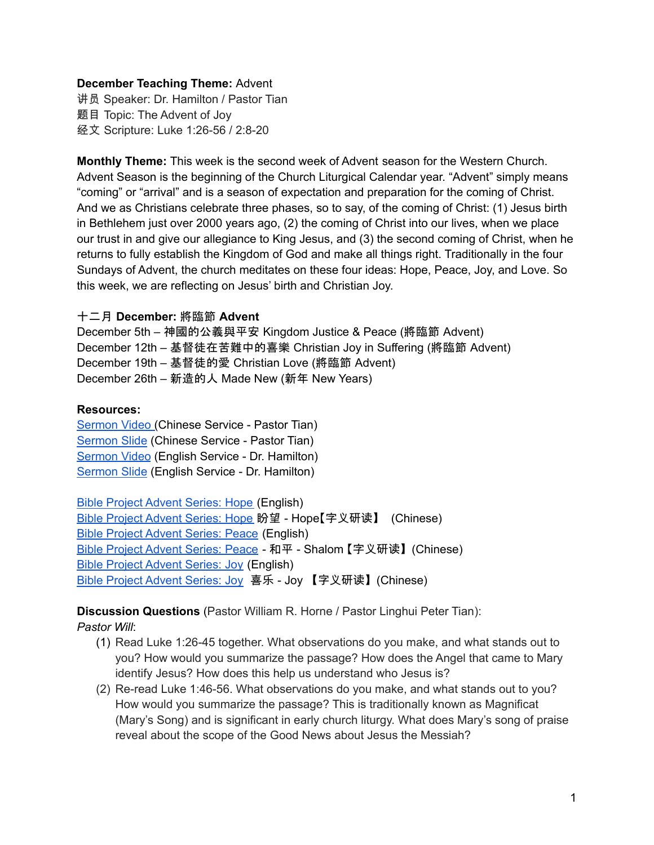## **December Teaching Theme:** Advent

讲员 Speaker: Dr. Hamilton / Pastor Tian 题目 Topic: The Advent of Joy 经文 Scripture: Luke 1:26-56 / 2:8-20

**Monthly Theme:** This week is the second week of Advent season for the Western Church. Advent Season is the beginning of the Church Liturgical Calendar year. "Advent" simply means "coming" or "arrival" and is a season of expectation and preparation for the coming of Christ. And we as Christians celebrate three phases, so to say, of the coming of Christ: (1) Jesus birth in Bethlehem just over 2000 years ago, (2) the coming of Christ into our lives, when we place our trust in and give our allegiance to King Jesus, and (3) the second coming of Christ, when he returns to fully establish the Kingdom of God and make all things right. Traditionally in the four Sundays of Advent, the church meditates on these four ideas: Hope, Peace, Joy, and Love. So this week, we are reflecting on Jesus' birth and Christian Joy.

### 十二月 **December:** 將臨節 **Advent**

December 5th – 神國的公義與平安 Kingdom Justice & Peace (將臨節 Advent) December 12th – 基督徒在苦難中的喜樂 Christian Joy in Suffering (將臨節 Advent) December 19th – 基督徒的愛 Christian Love (將臨節 Advent) December 26th – 新造的人 Made New (新年 New Years)

#### **Resources:**

[Sermon](https://www.youtube.com/watch?v=BnHnWbscaJ8) Video (Chinese Service - Pastor Tian) [Sermon](https://docs.google.com/presentation/d/1YocPuSVUxcLzOTeLoduU65_2D_hJcGSH/edit?usp=sharing&ouid=111022305003760555164&rtpof=true&sd=true) Slide (Chinese Service - Pastor Tian) [Sermon](https://www.youtube.com/watch?v=iUB1iXz9EAk) Video (English Service - Dr. Hamilton) [Sermon](https://docs.google.com/presentation/d/1WgA_eTQfJ_U_4ObAr2MzJzvBna9uSBQp3Y9u-VOhHoI/edit?usp=sharing) Slide (English Service - Dr. Hamilton)

Bible Project [Advent](https://bibleproject.com/explore/video/yakhal-hope/) Series: Hope (English) Bible Project [Advent](https://www.youtube.com/watch?v=1wR5M3zfFaE) Series: Hope 盼望 - Hope【字义研读】 (Chinese) Bible Project [Advent](https://bibleproject.com/explore/video/shalom-peace/) Series: Peace (English) Bible Project [Advent](https://www.youtube.com/watch?v=7TI15i39hbY) Series: Peace - 和平 - Shalom 【字义研读】(Chinese) Bible Project [Advent](https://bibleproject.com/explore/video/chara-joy/) Series: Joy (English) Bible Project [Advent](https://www.youtube.com/watch?v=nSjKxx1kEUo) Series: Joy 喜乐 - Joy 【字义研读】(Chinese)

**Discussion Questions** (Pastor William R. Horne / Pastor Linghui Peter Tian): *Pastor Will*:

- (1) Read Luke 1:26-45 together. What observations do you make, and what stands out to you? How would you summarize the passage? How does the Angel that came to Mary identify Jesus? How does this help us understand who Jesus is?
- (2) Re-read Luke 1:46-56. What observations do you make, and what stands out to you? How would you summarize the passage? This is traditionally known as Magnificat (Mary's Song) and is significant in early church liturgy. What does Mary's song of praise reveal about the scope of the Good News about Jesus the Messiah?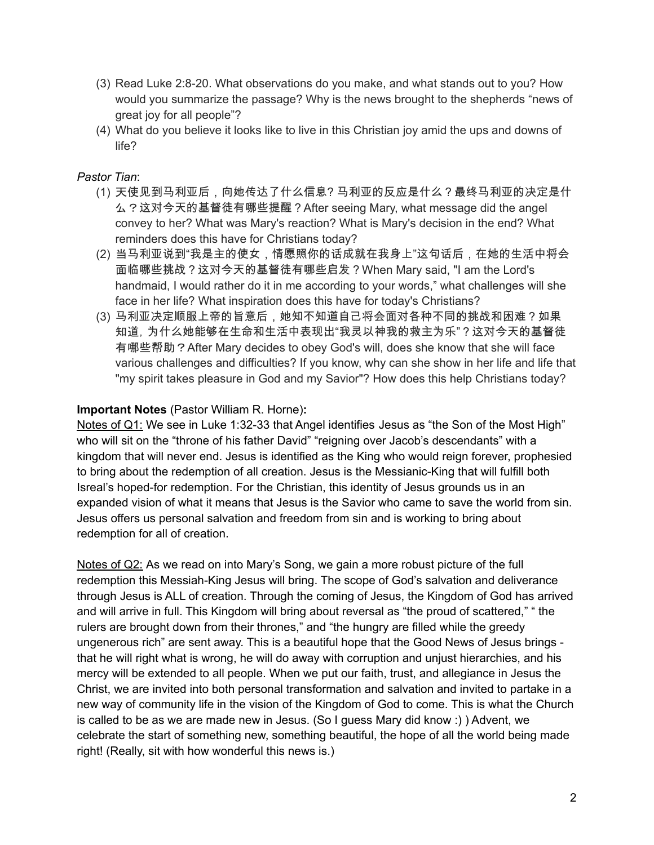- (3) Read Luke 2:8-20. What observations do you make, and what stands out to you? How would you summarize the passage? Why is the news brought to the shepherds "news of great joy for all people"?
- (4) What do you believe it looks like to live in this Christian joy amid the ups and downs of life?

# *Pastor Tian*:

- (1) 天使见到马利亚后,向她传达了什么信息? 马利亚的反应是什么?最终马利亚的决定是什 么?这对今天的基督徒有哪些提醒?After seeing Mary, what message did the angel convey to her? What was Mary's reaction? What is Mary's decision in the end? What reminders does this have for Christians today?
- (2) 当马利亚说到"我是主的使女,情愿照你的话成就在我身上"这句话后,在她的生活中将会 面临哪些挑战?这对今天的基督徒有哪些启发?When Mary said, "I am the Lord's handmaid, I would rather do it in me according to your words," what challenges will she face in her life? What inspiration does this have for today's Christians?
- (3) 马利亚决定顺服上帝的旨意后,她知不知道自己将会面对各种不同的挑战和困难?如果 知道,为什么她能够在生命和生活中表现出"我灵以神我的救主为乐"?这对今天的基督徒 有哪些帮助?After Mary decides to obey God's will, does she know that she will face various challenges and difficulties? If you know, why can she show in her life and life that "my spirit takes pleasure in God and my Savior"? How does this help Christians today?

# **Important Notes** (Pastor William R. Horne)**:**

Notes of Q1: We see in Luke 1:32-33 that Angel identifies Jesus as "the Son of the Most High" who will sit on the "throne of his father David" "reigning over Jacob's descendants" with a kingdom that will never end. Jesus is identified as the King who would reign forever, prophesied to bring about the redemption of all creation. Jesus is the Messianic-King that will fulfill both Isreal's hoped-for redemption. For the Christian, this identity of Jesus grounds us in an expanded vision of what it means that Jesus is the Savior who came to save the world from sin. Jesus offers us personal salvation and freedom from sin and is working to bring about redemption for all of creation.

Notes of Q2: As we read on into Mary's Song, we gain a more robust picture of the full redemption this Messiah-King Jesus will bring. The scope of God's salvation and deliverance through Jesus is ALL of creation. Through the coming of Jesus, the Kingdom of God has arrived and will arrive in full. This Kingdom will bring about reversal as "the proud of scattered," " the rulers are brought down from their thrones," and "the hungry are filled while the greedy ungenerous rich" are sent away. This is a beautiful hope that the Good News of Jesus brings that he will right what is wrong, he will do away with corruption and unjust hierarchies, and his mercy will be extended to all people. When we put our faith, trust, and allegiance in Jesus the Christ, we are invited into both personal transformation and salvation and invited to partake in a new way of community life in the vision of the Kingdom of God to come. This is what the Church is called to be as we are made new in Jesus. (So I guess Mary did know :) ) Advent, we celebrate the start of something new, something beautiful, the hope of all the world being made right! (Really, sit with how wonderful this news is.)